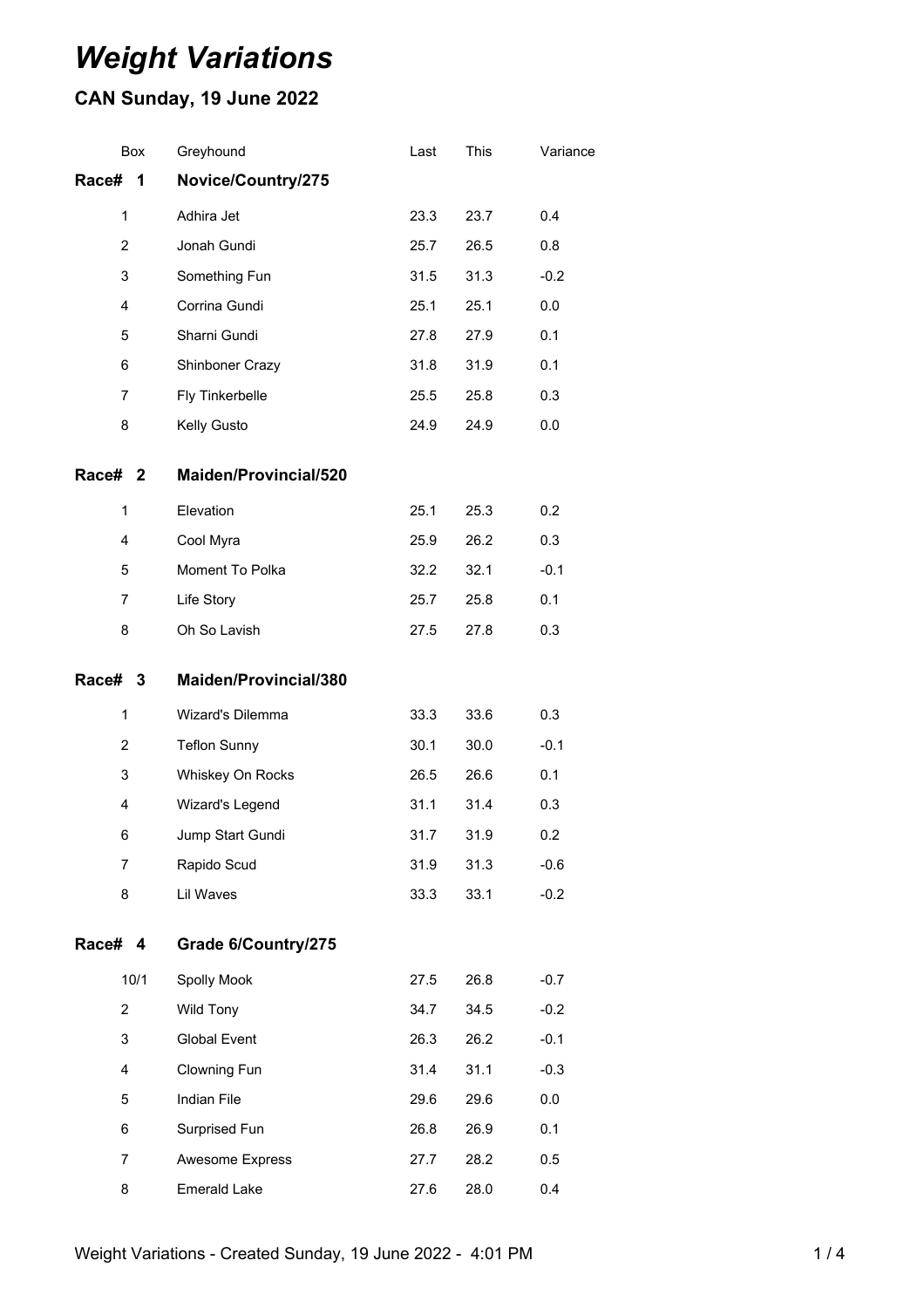# *Weight Variations*

## **CAN Sunday, 19 June 2022**

|                | Box            | Greyhound             | Last | This | Variance |
|----------------|----------------|-----------------------|------|------|----------|
| Race#          | 1              | Novice/Country/275    |      |      |          |
|                | $\mathbf{1}$   | Adhira Jet            | 23.3 | 23.7 | 0.4      |
| $\overline{2}$ |                | Jonah Gundi           | 25.7 | 26.5 | 0.8      |
| 3              |                | Something Fun         | 31.5 | 31.3 | $-0.2$   |
| $\overline{4}$ |                | Corrina Gundi         | 25.1 | 25.1 | 0.0      |
|                | 5              | Sharni Gundi          | 27.8 | 27.9 | 0.1      |
|                | 6              | Shinboner Crazy       | 31.8 | 31.9 | 0.1      |
|                | $\overline{7}$ | Fly Tinkerbelle       | 25.5 | 25.8 | 0.3      |
|                | 8              | Kelly Gusto           | 24.9 | 24.9 | 0.0      |
| Race# 2        |                | Maiden/Provincial/520 |      |      |          |
|                | $\mathbf{1}$   | Elevation             | 25.1 | 25.3 | 0.2      |
|                | 4              | Cool Myra             | 25.9 | 26.2 | 0.3      |
|                | 5              | Moment To Polka       | 32.2 | 32.1 | $-0.1$   |
|                | $\overline{7}$ | Life Story            | 25.7 | 25.8 | 0.1      |
|                | 8              | Oh So Lavish          | 27.5 | 27.8 | 0.3      |
| Race# 3        |                | Maiden/Provincial/380 |      |      |          |
|                | $\mathbf{1}$   | Wizard's Dilemma      | 33.3 | 33.6 | 0.3      |
|                | 2              | <b>Teflon Sunny</b>   | 30.1 | 30.0 | $-0.1$   |
|                | 3              | Whiskey On Rocks      | 26.5 | 26.6 | 0.1      |
|                | 4              | Wizard's Legend       | 31.1 | 31.4 | 0.3      |
|                | 6              | Jump Start Gundi      | 31.7 | 31.9 | 0.2      |
|                | 7              | Rapido Scud           | 31.9 | 31.3 | $-0.6$   |
|                | 8              | Lil Waves             | 33.3 | 33.1 | $-0.2$   |
| Race# 4        |                | Grade 6/Country/275   |      |      |          |
|                | 10/1           | Spolly Mook           | 27.5 | 26.8 | $-0.7$   |
|                |                |                       |      |      |          |
|                | $\overline{2}$ | <b>Wild Tony</b>      | 34.7 | 34.5 | $-0.2$   |
|                | 3              | <b>Global Event</b>   | 26.3 | 26.2 | $-0.1$   |
|                | 4              | Clowning Fun          | 31.4 | 31.1 | $-0.3$   |
|                | 5              | Indian File           | 29.6 | 29.6 | 0.0      |
|                | 6              | Surprised Fun         | 26.8 | 26.9 | 0.1      |
|                | $\overline{7}$ | Awesome Express       | 27.7 | 28.2 | 0.5      |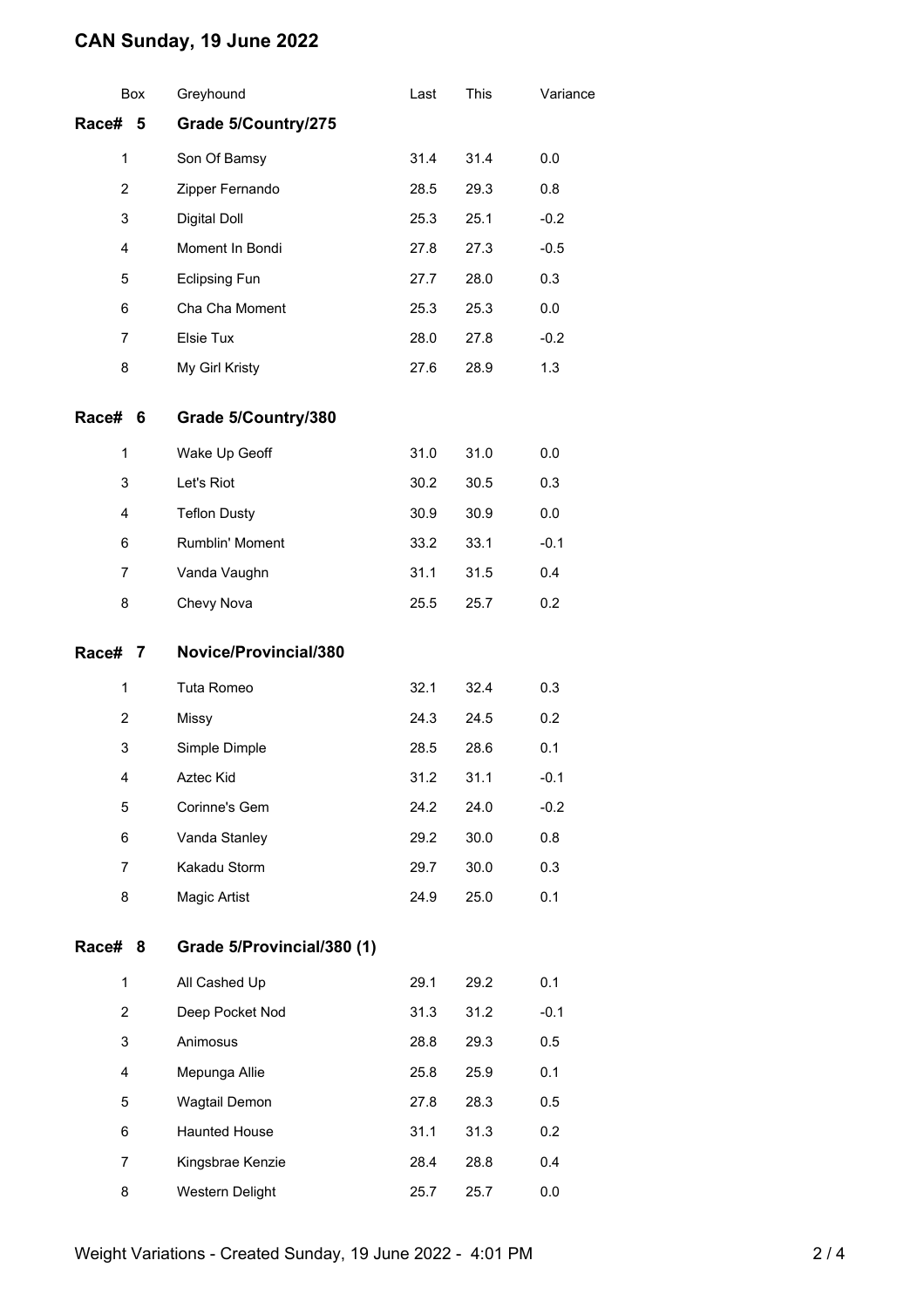### **CAN Sunday, 19 June 2022**

|                     | Box | Greyhound                  | Last | This | Variance |
|---------------------|-----|----------------------------|------|------|----------|
| Race# 5             |     | Grade 5/Country/275        |      |      |          |
| $\mathbf{1}$        |     | Son Of Bamsy               | 31.4 | 31.4 | 0.0      |
| $\overline{2}$<br>3 |     | Zipper Fernando            | 28.5 | 29.3 | 0.8      |
|                     |     | Digital Doll               | 25.3 | 25.1 | $-0.2$   |
| 4                   |     | Moment In Bondi            | 27.8 | 27.3 | $-0.5$   |
| 5                   |     | <b>Eclipsing Fun</b>       | 27.7 | 28.0 | 0.3      |
| 6                   |     | Cha Cha Moment             | 25.3 | 25.3 | 0.0      |
| 7                   |     | Elsie Tux                  | 28.0 | 27.8 | $-0.2$   |
| 8                   |     | My Girl Kristy             | 27.6 | 28.9 | 1.3      |
| Race#               | 6   | Grade 5/Country/380        |      |      |          |
| 1                   |     | Wake Up Geoff              | 31.0 | 31.0 | 0.0      |
| 3                   |     | Let's Riot                 | 30.2 | 30.5 | 0.3      |
| 4                   |     | <b>Teflon Dusty</b>        | 30.9 | 30.9 | 0.0      |
| 6                   |     | Rumblin' Moment            | 33.2 | 33.1 | $-0.1$   |
| 7                   |     | Vanda Vaughn               | 31.1 | 31.5 | 0.4      |
| 8                   |     | Chevy Nova                 | 25.5 | 25.7 | 0.2      |
| Race#<br>7          |     | Novice/Provincial/380      |      |      |          |
| 1                   |     | Tuta Romeo                 | 32.1 | 32.4 | 0.3      |
| 2                   |     | Missy                      | 24.3 | 24.5 | 0.2      |
| 3                   |     | Simple Dimple              | 28.5 | 28.6 | 0.1      |
| 4                   |     | Aztec Kid                  | 31.2 | 31.1 | $-0.1$   |
| 5                   |     | Corinne's Gem              | 24.2 | 24.0 | $-0.2$   |
| 6                   |     | Vanda Stanley              | 29.2 | 30.0 | 0.8      |
| 7                   |     | Kakadu Storm               | 29.7 | 30.0 | 0.3      |
| 8                   |     | Magic Artist               | 24.9 | 25.0 | 0.1      |
| Race#               | 8   | Grade 5/Provincial/380 (1) |      |      |          |
| $\mathbf{1}$        |     | All Cashed Up              | 29.1 | 29.2 | 0.1      |
| $\overline{2}$      |     | Deep Pocket Nod            | 31.3 | 31.2 | $-0.1$   |
| 3                   |     | Animosus                   | 28.8 | 29.3 | 0.5      |
| 4                   |     | Mepunga Allie              | 25.8 | 25.9 | 0.1      |
| 5                   |     | Wagtail Demon              | 27.8 | 28.3 | 0.5      |
| 6                   |     | <b>Haunted House</b>       | 31.1 | 31.3 | 0.2      |
| 7                   |     | Kingsbrae Kenzie           | 28.4 | 28.8 | 0.4      |
| 8                   |     | Western Delight            | 25.7 | 25.7 | 0.0      |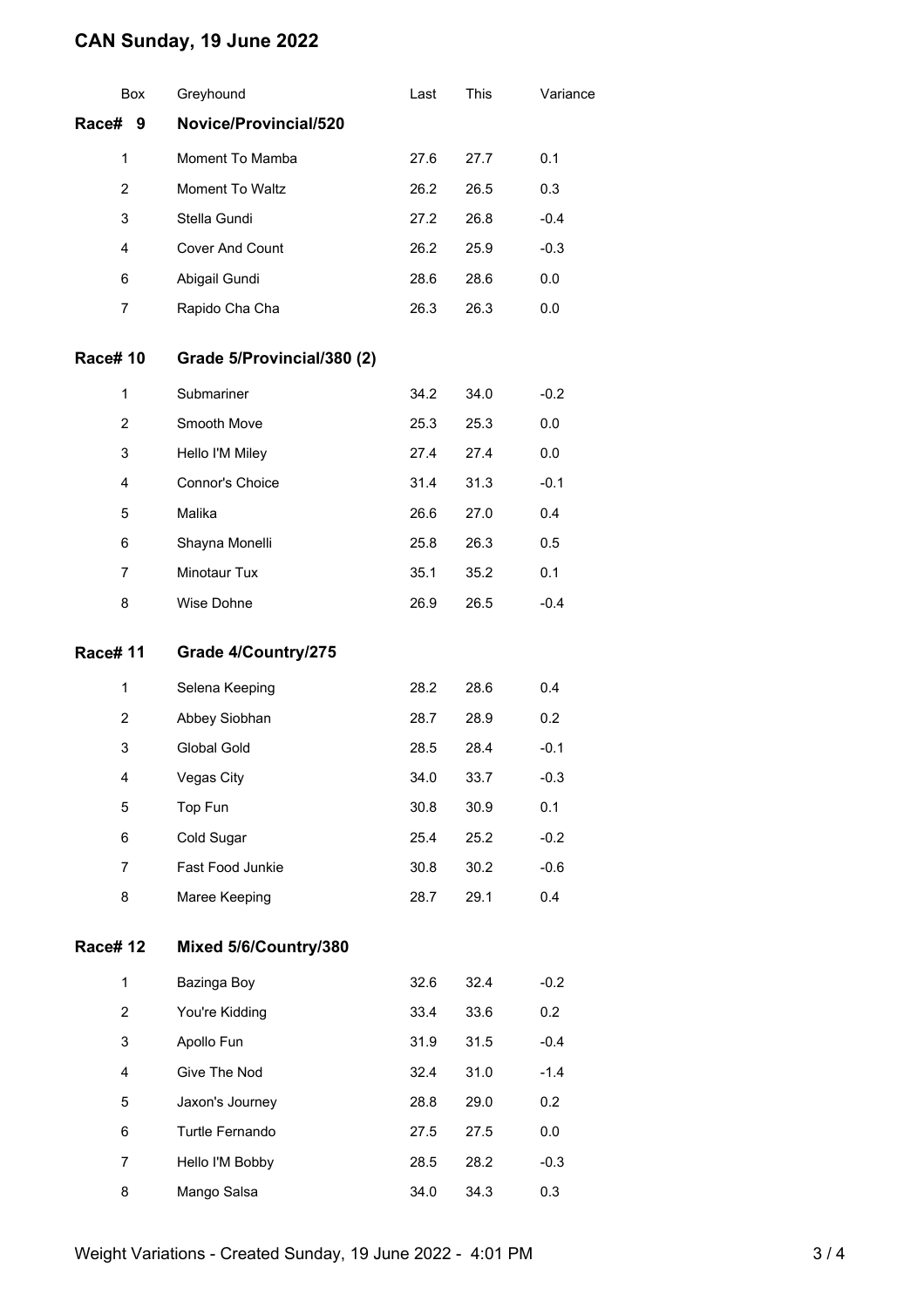### **CAN Sunday, 19 June 2022**

| Box            | Greyhound                  | Last | This | Variance |
|----------------|----------------------------|------|------|----------|
| Race# 9        | Novice/Provincial/520      |      |      |          |
| 1              | Moment To Mamba            | 27.6 | 27.7 | 0.1      |
| $\overline{2}$ | Moment To Waltz            | 26.2 | 26.5 | 0.3      |
| 3              | Stella Gundi               | 27.2 | 26.8 | $-0.4$   |
| 4              | Cover And Count            | 26.2 | 25.9 | $-0.3$   |
| 6              | Abigail Gundi              | 28.6 | 28.6 | 0.0      |
| $\overline{7}$ | Rapido Cha Cha             | 26.3 | 26.3 | 0.0      |
| <b>Race#10</b> | Grade 5/Provincial/380 (2) |      |      |          |
| 1              | Submariner                 | 34.2 | 34.0 | $-0.2$   |
| $\overline{2}$ | Smooth Move                | 25.3 | 25.3 | 0.0      |
| 3              | Hello I'M Miley            | 27.4 | 27.4 | 0.0      |
| $\overline{4}$ | Connor's Choice            | 31.4 | 31.3 | $-0.1$   |
| 5              | Malika                     | 26.6 | 27.0 | 0.4      |
| 6              | Shayna Monelli             | 25.8 | 26.3 | 0.5      |
| $\overline{7}$ | Minotaur Tux               | 35.1 | 35.2 | 0.1      |
| 8              | Wise Dohne                 | 26.9 | 26.5 | $-0.4$   |
| <b>Race#11</b> | Grade 4/Country/275        |      |      |          |
| 1              | Selena Keeping             | 28.2 | 28.6 | 0.4      |
| $\overline{2}$ | Abbey Siobhan              | 28.7 | 28.9 | 0.2      |
| 3              | Global Gold                | 28.5 | 28.4 | $-0.1$   |
| 4              | Vegas City                 | 34.0 | 33.7 | $-0.3$   |
| 5              | Top Fun                    | 30.8 | 30.9 | 0.1      |
| 6              | Cold Sugar                 | 25.4 | 25.2 | $-0.2$   |
| 7              | Fast Food Junkie           | 30.8 | 30.2 | $-0.6$   |
| 8              | Maree Keeping              | 28.7 | 29.1 | 0.4      |
| <b>Race#12</b> | Mixed 5/6/Country/380      |      |      |          |
| 1              | Bazinga Boy                | 32.6 | 32.4 | $-0.2$   |
| $\overline{2}$ | You're Kidding             | 33.4 | 33.6 | 0.2      |
| 3              | Apollo Fun                 | 31.9 | 31.5 | $-0.4$   |
| $\overline{4}$ | Give The Nod               | 32.4 | 31.0 | $-1.4$   |
| 5              | Jaxon's Journey            | 28.8 | 29.0 | 0.2      |
| 6              | Turtle Fernando            | 27.5 | 27.5 | 0.0      |
| 7              | Hello I'M Bobby            | 28.5 | 28.2 | $-0.3$   |
| 8              | Mango Salsa                | 34.0 | 34.3 | 0.3      |